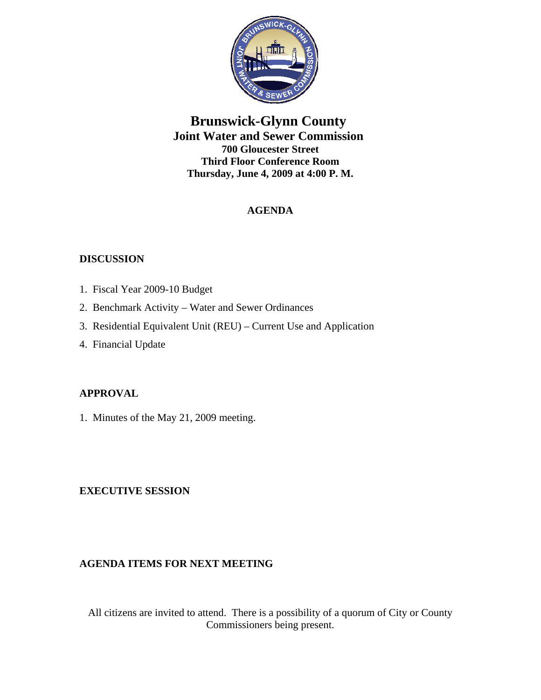

# **Brunswick-Glynn County Joint Water and Sewer Commission 700 Gloucester Street Third Floor Conference Room Thursday, June 4, 2009 at 4:00 P. M.**

# **AGENDA**

## **DISCUSSION**

- 1. Fiscal Year 2009-10 Budget
- 2. Benchmark Activity Water and Sewer Ordinances
- 3. Residential Equivalent Unit (REU) Current Use and Application
- 4. Financial Update

## **APPROVAL**

1. Minutes of the May 21, 2009 meeting.

## **EXECUTIVE SESSION**

## **AGENDA ITEMS FOR NEXT MEETING**

All citizens are invited to attend. There is a possibility of a quorum of City or County Commissioners being present.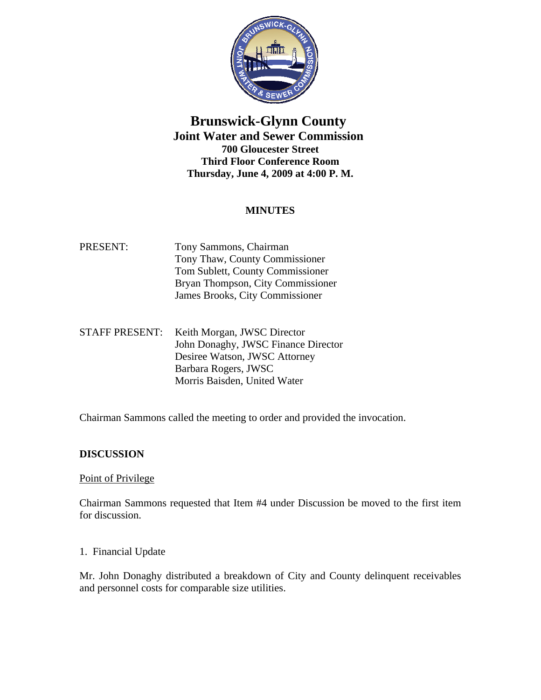

# **Brunswick-Glynn County Joint Water and Sewer Commission 700 Gloucester Street Third Floor Conference Room Thursday, June 4, 2009 at 4:00 P. M.**

## **MINUTES**

- PRESENT: Tony Sammons, Chairman Tony Thaw, County Commissioner Tom Sublett, County Commissioner Bryan Thompson, City Commissioner James Brooks, City Commissioner
- STAFF PRESENT: Keith Morgan, JWSC Director John Donaghy, JWSC Finance Director Desiree Watson, JWSC Attorney Barbara Rogers, JWSC Morris Baisden, United Water

Chairman Sammons called the meeting to order and provided the invocation.

## **DISCUSSION**

#### Point of Privilege

Chairman Sammons requested that Item #4 under Discussion be moved to the first item for discussion.

#### 1. Financial Update

Mr. John Donaghy distributed a breakdown of City and County delinquent receivables and personnel costs for comparable size utilities.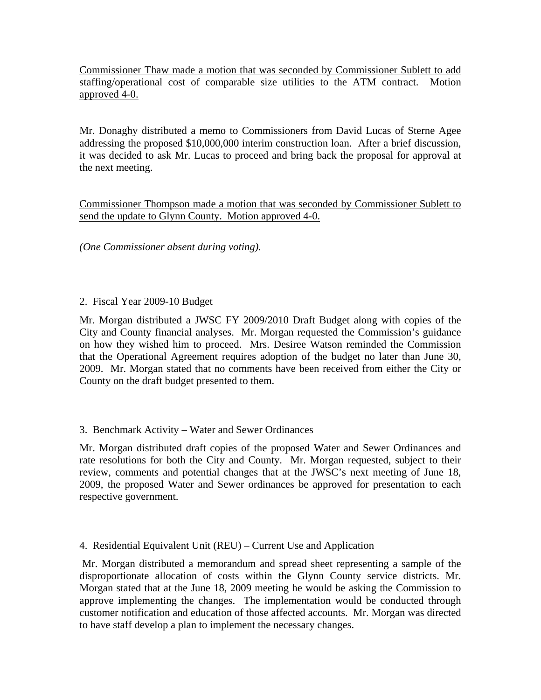Commissioner Thaw made a motion that was seconded by Commissioner Sublett to add staffing/operational cost of comparable size utilities to the ATM contract. Motion approved 4-0.

Mr. Donaghy distributed a memo to Commissioners from David Lucas of Sterne Agee addressing the proposed \$10,000,000 interim construction loan. After a brief discussion, it was decided to ask Mr. Lucas to proceed and bring back the proposal for approval at the next meeting.

Commissioner Thompson made a motion that was seconded by Commissioner Sublett to send the update to Glynn County. Motion approved 4-0.

*(One Commissioner absent during voting).* 

### 2. Fiscal Year 2009-10 Budget

Mr. Morgan distributed a JWSC FY 2009/2010 Draft Budget along with copies of the City and County financial analyses. Mr. Morgan requested the Commission's guidance on how they wished him to proceed. Mrs. Desiree Watson reminded the Commission that the Operational Agreement requires adoption of the budget no later than June 30, 2009. Mr. Morgan stated that no comments have been received from either the City or County on the draft budget presented to them.

## 3. Benchmark Activity – Water and Sewer Ordinances

Mr. Morgan distributed draft copies of the proposed Water and Sewer Ordinances and rate resolutions for both the City and County. Mr. Morgan requested, subject to their review, comments and potential changes that at the JWSC's next meeting of June 18, 2009, the proposed Water and Sewer ordinances be approved for presentation to each respective government.

## 4. Residential Equivalent Unit (REU) – Current Use and Application

 Mr. Morgan distributed a memorandum and spread sheet representing a sample of the disproportionate allocation of costs within the Glynn County service districts. Mr. Morgan stated that at the June 18, 2009 meeting he would be asking the Commission to approve implementing the changes. The implementation would be conducted through customer notification and education of those affected accounts. Mr. Morgan was directed to have staff develop a plan to implement the necessary changes.